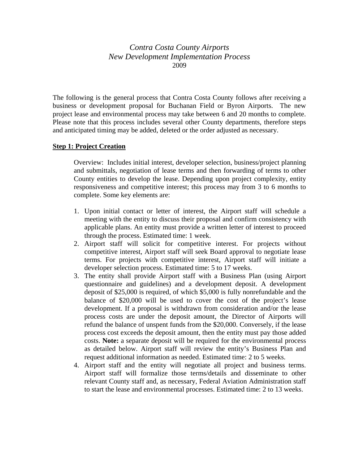*Contra Costa County Airports New Development Implementation Process*  2009

The following is the general process that Contra Costa County follows after receiving a business or development proposal for Buchanan Field or Byron Airports. The new project lease and environmental process may take between 6 and 20 months to complete. Please note that this process includes several other County departments, therefore steps and anticipated timing may be added, deleted or the order adjusted as necessary.

## **Step 1: Project Creation**

Overview: Includes initial interest, developer selection, business/project planning and submittals, negotiation of lease terms and then forwarding of terms to other County entities to develop the lease. Depending upon project complexity, entity responsiveness and competitive interest; this process may from 3 to 6 months to complete. Some key elements are:

- 1. Upon initial contact or letter of interest, the Airport staff will schedule a meeting with the entity to discuss their proposal and confirm consistency with applicable plans. An entity must provide a written letter of interest to proceed through the process. Estimated time: 1 week.
- 2. Airport staff will solicit for competitive interest. For projects without competitive interest, Airport staff will seek Board approval to negotiate lease terms. For projects with competitive interest, Airport staff will initiate a developer selection process. Estimated time: 5 to 17 weeks.
- 3. The entity shall provide Airport staff with a Business Plan (using Airport questionnaire and guidelines) and a development deposit. A development deposit of \$25,000 is required, of which \$5,000 is fully nonrefundable and the balance of \$20,000 will be used to cover the cost of the project's lease development. If a proposal is withdrawn from consideration and/or the lease process costs are under the deposit amount, the Director of Airports will refund the balance of unspent funds from the \$20,000. Conversely, if the lease process cost exceeds the deposit amount, then the entity must pay those added costs. **Note:** a separate deposit will be required for the environmental process as detailed below. Airport staff will review the entity's Business Plan and request additional information as needed. Estimated time: 2 to 5 weeks.
- 4. Airport staff and the entity will negotiate all project and business terms. Airport staff will formalize those terms/details and disseminate to other relevant County staff and, as necessary, Federal Aviation Administration staff to start the lease and environmental processes. Estimated time: 2 to 13 weeks.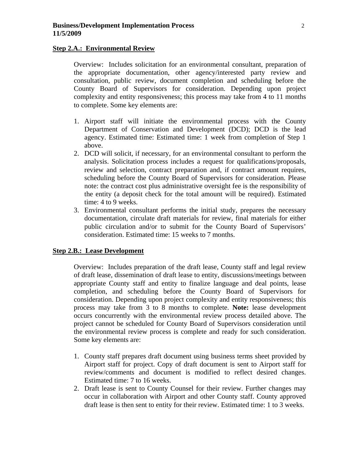## **Step 2.A.: Environmental Review**

Overview: Includes solicitation for an environmental consultant, preparation of the appropriate documentation, other agency/interested party review and consultation, public review, document completion and scheduling before the County Board of Supervisors for consideration. Depending upon project complexity and entity responsiveness; this process may take from 4 to 11 months to complete. Some key elements are:

- 1. Airport staff will initiate the environmental process with the County Department of Conservation and Development (DCD); DCD is the lead agency. Estimated time: Estimated time: 1 week from completion of Step 1 above.
- 2. DCD will solicit, if necessary, for an environmental consultant to perform the analysis. Solicitation process includes a request for qualifications/proposals, review and selection, contract preparation and, if contract amount requires, scheduling before the County Board of Supervisors for consideration. Please note: the contract cost plus administrative oversight fee is the responsibility of the entity (a deposit check for the total amount will be required). Estimated time: 4 to 9 weeks.
- 3. Environmental consultant performs the initial study, prepares the necessary documentation, circulate draft materials for review, final materials for either public circulation and/or to submit for the County Board of Supervisors' consideration. Estimated time: 15 weeks to 7 months.

## **Step 2.B.: Lease Development**

Overview: Includes preparation of the draft lease, County staff and legal review of draft lease, dissemination of draft lease to entity, discussions/meetings between appropriate County staff and entity to finalize language and deal points, lease completion, and scheduling before the County Board of Supervisors for consideration. Depending upon project complexity and entity responsiveness; this process may take from 3 to 8 months to complete. **Note:** lease development occurs concurrently with the environmental review process detailed above. The project cannot be scheduled for County Board of Supervisors consideration until the environmental review process is complete and ready for such consideration. Some key elements are:

- 1. County staff prepares draft document using business terms sheet provided by Airport staff for project. Copy of draft document is sent to Airport staff for review/comments and document is modified to reflect desired changes. Estimated time: 7 to 16 weeks.
- 2. Draft lease is sent to County Counsel for their review. Further changes may occur in collaboration with Airport and other County staff. County approved draft lease is then sent to entity for their review. Estimated time: 1 to 3 weeks.